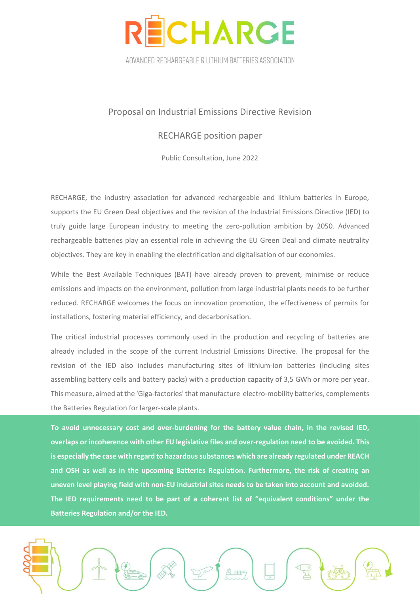

ADVANCED RECHARGEABLE & LITHIUM BATTERIES ASSOCIATION

## Proposal on Industrial Emissions Directive Revision

## RECHARGE position paper

Public Consultation, June 2022

RECHARGE, the industry association for advanced rechargeable and lithium batteries in Europe, supports the EU Green Deal objectives and the revision of the Industrial Emissions Directive (IED) to truly guide large European industry to meeting the zero-pollution ambition by 2050. Advanced rechargeable batteries play an essential role in achieving the EU Green Deal and climate neutrality objectives. They are key in enabling the electrification and digitalisation of our economies.

While the Best Available Techniques (BAT) have already proven to prevent, minimise or reduce emissions and impacts on the environment, pollution from large industrial plants needs to be further reduced. RECHARGE welcomes the focus on innovation promotion, the effectiveness of permits for installations, fostering material efficiency, and decarbonisation.

The critical industrial processes commonly used in the production and recycling of batteries are already included in the scope of the current Industrial Emissions Directive. The proposal for the revision of the IED also includes manufacturing sites of lithium-ion batteries (including sites assembling battery cells and battery packs) with a production capacity of 3,5 GWh or more per year. This measure, aimed at the 'Giga-factories' that manufacture electro-mobility batteries, complements the Batteries Regulation for larger-scale plants.

**To avoid unnecessary cost and over-burdening for the battery value chain, in the revised IED, overlaps or incoherence with other EU legislative files and over-regulation need to be avoided. This is especially the case with regard to hazardous substances which are already regulated under REACH and OSH as well as in the upcoming Batteries Regulation. Furthermore, the risk of creating an uneven level playing field with non-EU industrial sites needs to be taken into account and avoided. The IED requirements need to be part of a coherent list of "equivalent conditions" under the Batteries Regulation and/or the IED.**

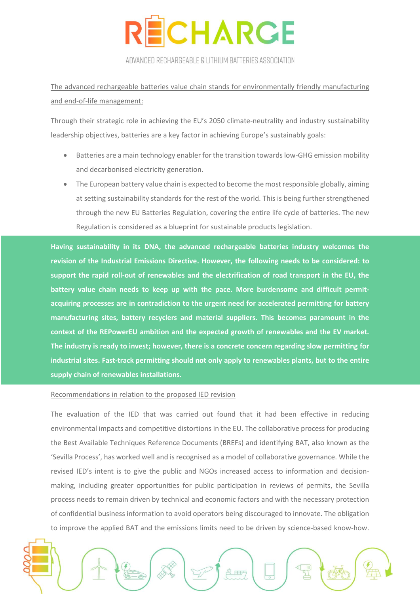

ADVANCED RECHARGEABLE & LITHIUM BATTERIES ASSOCIATION

The advanced rechargeable batteries value chain stands for environmentally friendly manufacturing and end-of-life management:

Through their strategic role in achieving the EU's 2050 climate-neutrality and industry sustainability leadership objectives, batteries are a key factor in achieving Europe's sustainably goals:

- Batteries are a main technology enabler for the transition towards low-GHG emission mobility and decarbonised electricity generation.
- The European battery value chain is expected to become the most responsible globally, aiming at setting sustainability standards for the rest of the world. This is being further strengthened through the new EU Batteries Regulation, covering the entire life cycle of batteries. The new Regulation is considered as a blueprint for sustainable products legislation.

**Having sustainability in its DNA, the advanced rechargeable batteries industry welcomes the revision of the Industrial Emissions Directive. However, the following needs to be considered: to support the rapid roll-out of renewables and the electrification of road transport in the EU, the battery value chain needs to keep up with the pace. More burdensome and difficult permitacquiring processes are in contradiction to the urgent need for accelerated permitting for battery manufacturing sites, battery recyclers and material suppliers. This becomes paramount in the context of the REPowerEU ambition and the expected growth of renewables and the EV market. The industry is ready to invest; however, there is a concrete concern regarding slow permitting for industrial sites. Fast-track permitting should not only apply to renewables plants, but to the entire supply chain of renewables installations.** 

## Recommendations in relation to the proposed IED revision

The evaluation of the IED that was carried out found that it had been effective in reducing environmental impacts and competitive distortions in the EU. The collaborative process for producing the Best Available Techniques Reference Documents (BREFs) and identifying BAT, also known as the 'Sevilla Process', has worked well and is recognised as a model of collaborative governance. While the revised IED's intent is to give the public and NGOs increased access to information and decisionmaking, including greater opportunities for public participation in reviews of permits, the Sevilla process needs to remain driven by technical and economic factors and with the necessary protection of confidential business information to avoid operators being discouraged to innovate. The obligation to improve the applied BAT and the emissions limits need to be driven by science-based know-how.